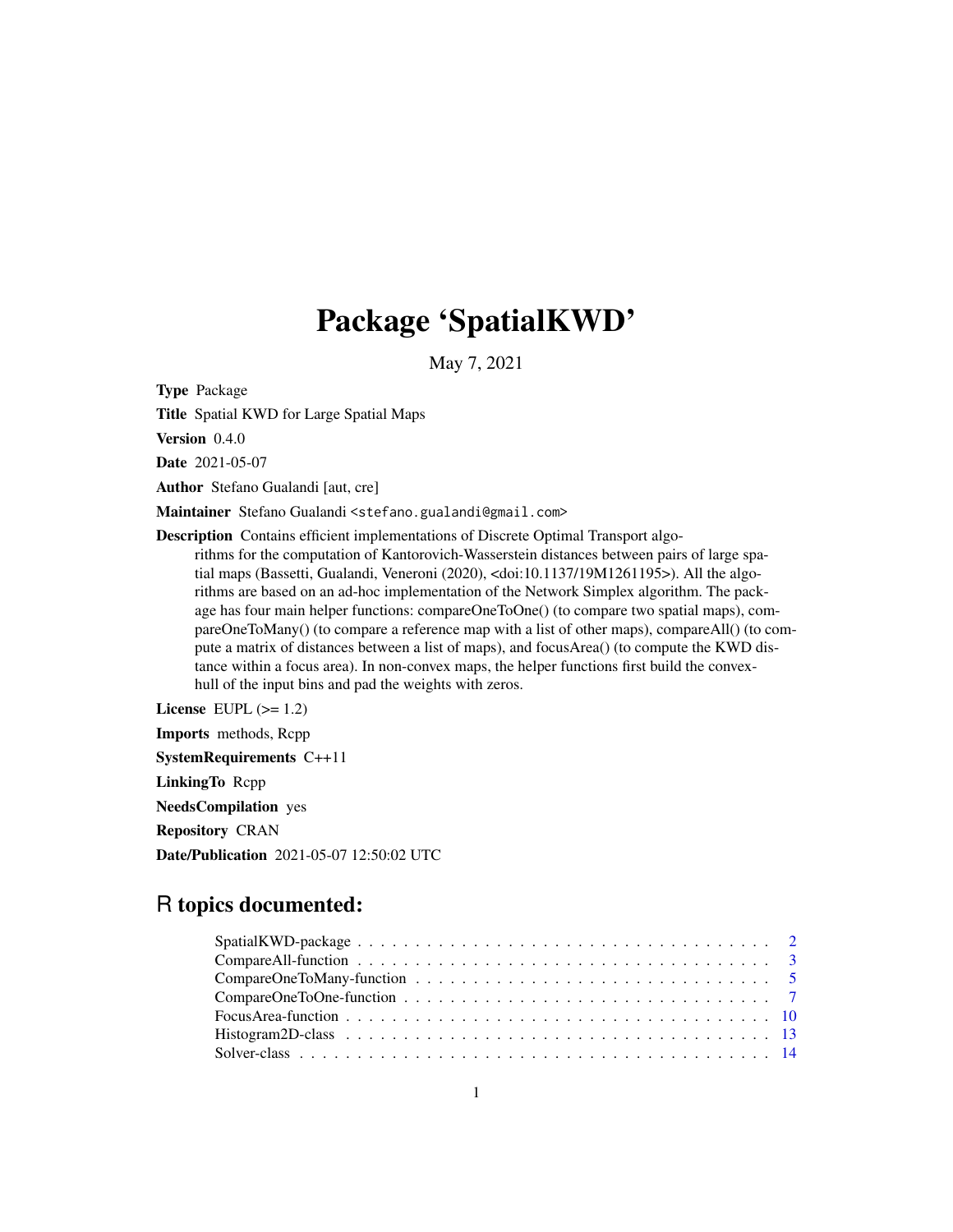# Package 'SpatialKWD'

May 7, 2021

Type Package

Title Spatial KWD for Large Spatial Maps

Version 0.4.0

Date 2021-05-07

Author Stefano Gualandi [aut, cre]

Maintainer Stefano Gualandi <stefano.gualandi@gmail.com>

Description Contains efficient implementations of Discrete Optimal Transport algorithms for the computation of Kantorovich-Wasserstein distances between pairs of large spatial maps (Bassetti, Gualandi, Veneroni (2020), <doi:10.1137/19M1261195>). All the algorithms are based on an ad-hoc implementation of the Network Simplex algorithm. The package has four main helper functions: compareOneToOne() (to compare two spatial maps), compareOneToMany() (to compare a reference map with a list of other maps), compareAll() (to compute a matrix of distances between a list of maps), and focusArea() (to compute the KWD distance within a focus area). In non-convex maps, the helper functions first build the convexhull of the input bins and pad the weights with zeros.

License EUPL  $(>= 1.2)$ Imports methods, Rcpp SystemRequirements C++11 LinkingTo Rcpp NeedsCompilation yes Repository CRAN Date/Publication 2021-05-07 12:50:02 UTC

# R topics documented:

| Spatial KWD-package $\ldots \ldots \ldots \ldots \ldots \ldots \ldots \ldots \ldots \ldots \ldots \ldots \ldots 2$ |  |
|--------------------------------------------------------------------------------------------------------------------|--|
|                                                                                                                    |  |
|                                                                                                                    |  |
|                                                                                                                    |  |
|                                                                                                                    |  |
|                                                                                                                    |  |
|                                                                                                                    |  |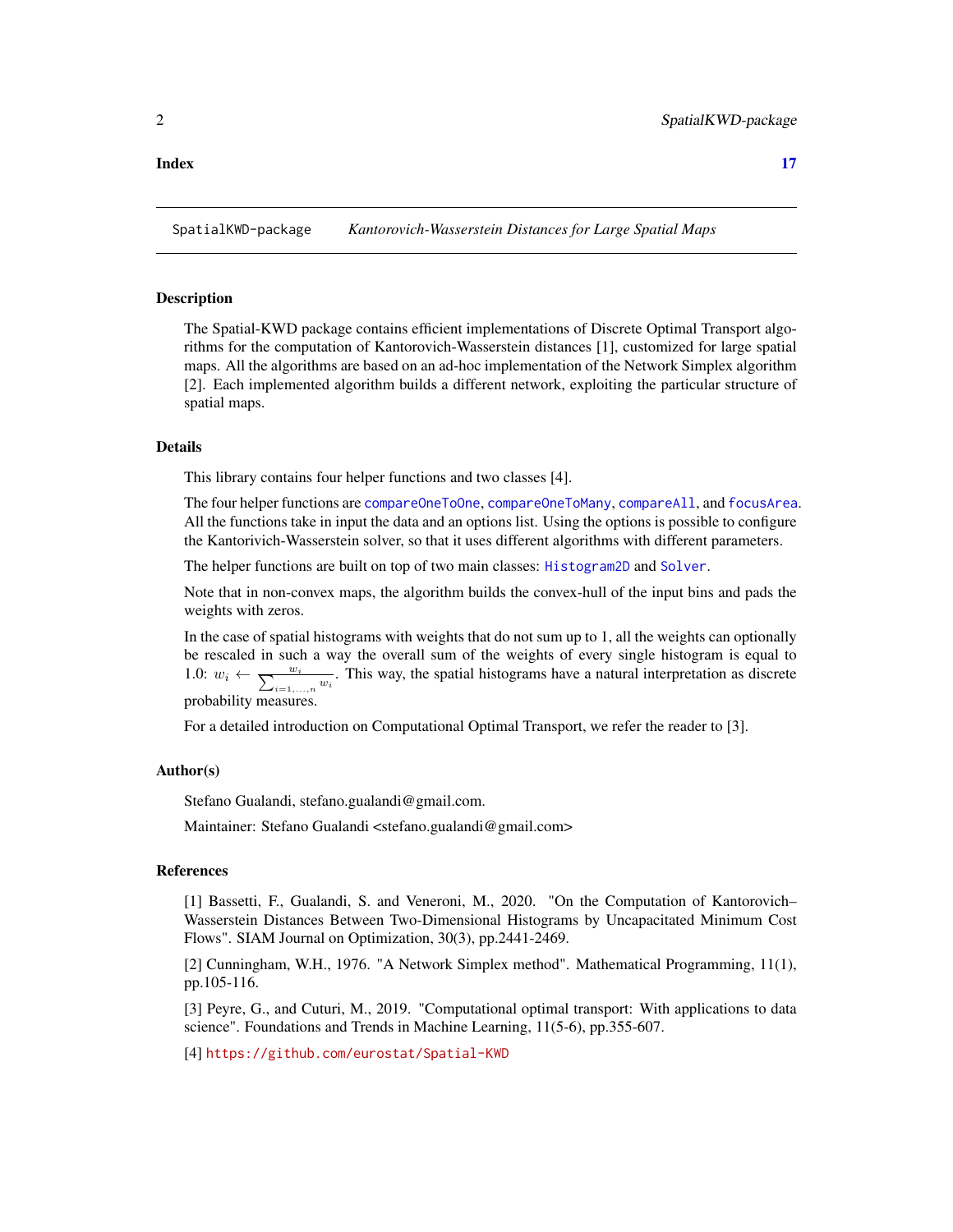# <span id="page-1-0"></span>**Index** [17](#page-16-0)

SpatialKWD-package *Kantorovich-Wasserstein Distances for Large Spatial Maps*

### **Description**

The Spatial-KWD package contains efficient implementations of Discrete Optimal Transport algorithms for the computation of Kantorovich-Wasserstein distances [1], customized for large spatial maps. All the algorithms are based on an ad-hoc implementation of the Network Simplex algorithm [2]. Each implemented algorithm builds a different network, exploiting the particular structure of spatial maps.

### Details

This library contains four helper functions and two classes [4].

The four helper functions are [compareOneToOne](#page-6-1), [compareOneToMany](#page-4-1), [compareAll](#page-2-1), and [focusArea](#page-9-1). All the functions take in input the data and an options list. Using the options is possible to configure the Kantorivich-Wasserstein solver, so that it uses different algorithms with different parameters.

The helper functions are built on top of two main classes: [Histogram2D](#page-12-1) and [Solver](#page-13-1).

Note that in non-convex maps, the algorithm builds the convex-hull of the input bins and pads the weights with zeros.

In the case of spatial histograms with weights that do not sum up to 1, all the weights can optionally be rescaled in such a way the overall sum of the weights of every single histogram is equal to 1.0:  $w_i \leftarrow \frac{w_i}{\sum_{i=1,...,n} w_i}$ . This way, the spatial histograms have a natural interpretation as discrete probability measures.

For a detailed introduction on Computational Optimal Transport, we refer the reader to [3].

#### Author(s)

Stefano Gualandi, stefano.gualandi@gmail.com.

Maintainer: Stefano Gualandi <stefano.gualandi@gmail.com>

# References

[1] Bassetti, F., Gualandi, S. and Veneroni, M., 2020. "On the Computation of Kantorovich– Wasserstein Distances Between Two-Dimensional Histograms by Uncapacitated Minimum Cost Flows". SIAM Journal on Optimization, 30(3), pp.2441-2469.

[2] Cunningham, W.H., 1976. "A Network Simplex method". Mathematical Programming, 11(1), pp.105-116.

[3] Peyre, G., and Cuturi, M., 2019. "Computational optimal transport: With applications to data science". Foundations and Trends in Machine Learning, 11(5-6), pp.355-607.

[4] <https://github.com/eurostat/Spatial-KWD>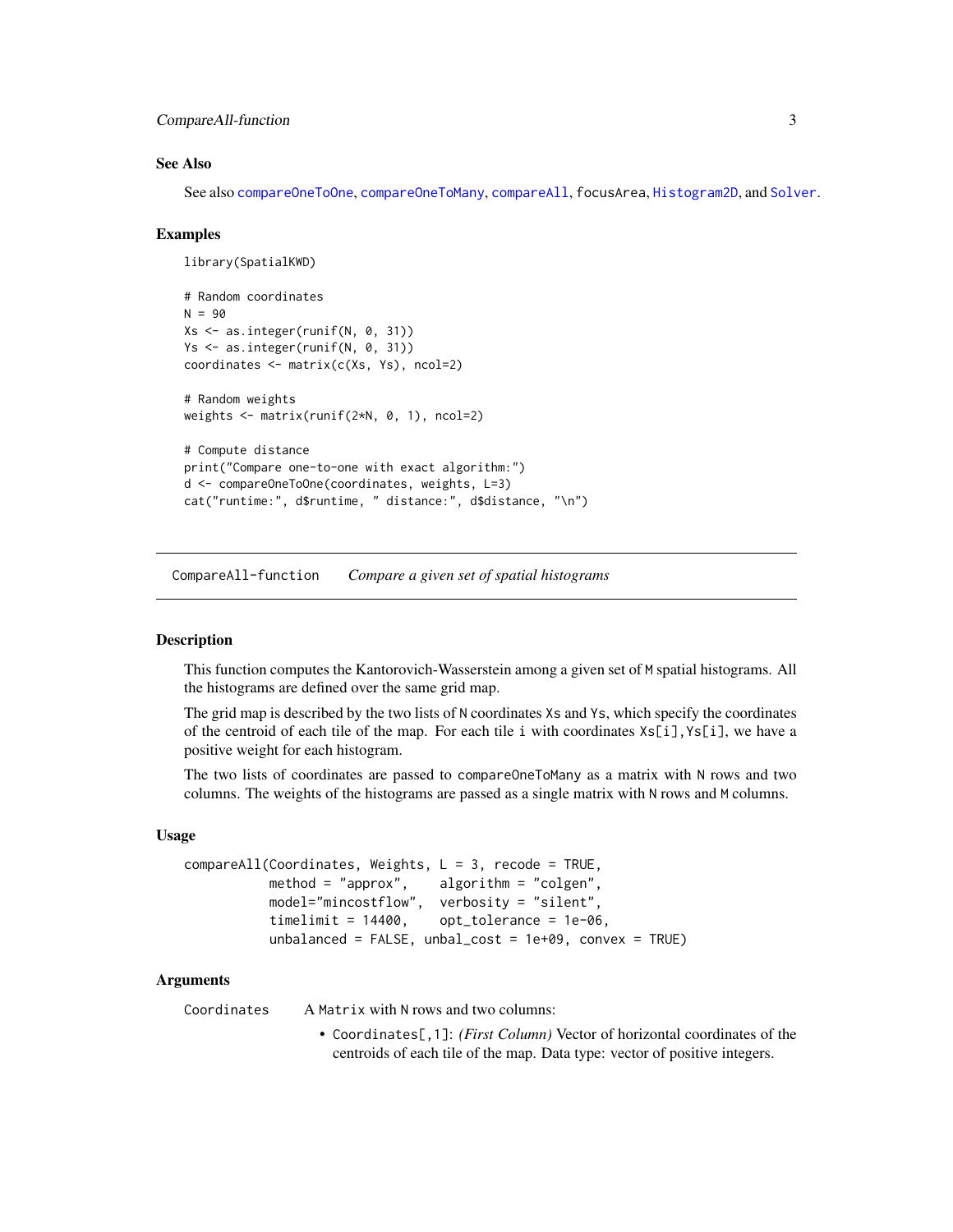```
CompareAll-function 3
```
# See Also

See also [compareOneToOne](#page-6-1), [compareOneToMany](#page-4-1), [compareAll](#page-2-1), focusArea, [Histogram2D](#page-12-1), and [Solver](#page-13-1).

#### Examples

```
library(SpatialKWD)
# Random coordinates
N = 90Xs <- as.integer(runif(N, 0, 31))
Ys <- as.integer(runif(N, 0, 31))
coordinates <- matrix(c(Xs, Ys), ncol=2)
# Random weights
weights <- matrix(runif(2*N, 0, 1), ncol=2)
# Compute distance
print("Compare one-to-one with exact algorithm:")
d <- compareOneToOne(coordinates, weights, L=3)
cat("runtime:", d$runtime, " distance:", d$distance, "\n")
```
CompareAll-function *Compare a given set of spatial histograms*

# <span id="page-2-1"></span>Description

This function computes the Kantorovich-Wasserstein among a given set of M spatial histograms. All the histograms are defined over the same grid map.

The grid map is described by the two lists of N coordinates Xs and Ys, which specify the coordinates of the centroid of each tile of the map. For each tile i with coordinates  $x \leq \lfloor i \rfloor$ ,  $y \leq \lfloor i \rfloor$ , we have a positive weight for each histogram.

The two lists of coordinates are passed to compareOneToMany as a matrix with N rows and two columns. The weights of the histograms are passed as a single matrix with N rows and M columns.

#### Usage

```
compareAll(Coordinates, Weights, L = 3, recode = TRUE,
          method = "approx", algorithm = "colgen",
          model="mincostflow", verbosity = "silent",
          timelimit = 14400, opt_tolerance = 1e-06,
          unbalanced = FALSE, unbal_cost = 1e+09, convex = TRUE)
```
#### Arguments

Coordinates A Matrix with N rows and two columns:

• Coordinates[,1]: *(First Column)* Vector of horizontal coordinates of the centroids of each tile of the map. Data type: vector of positive integers.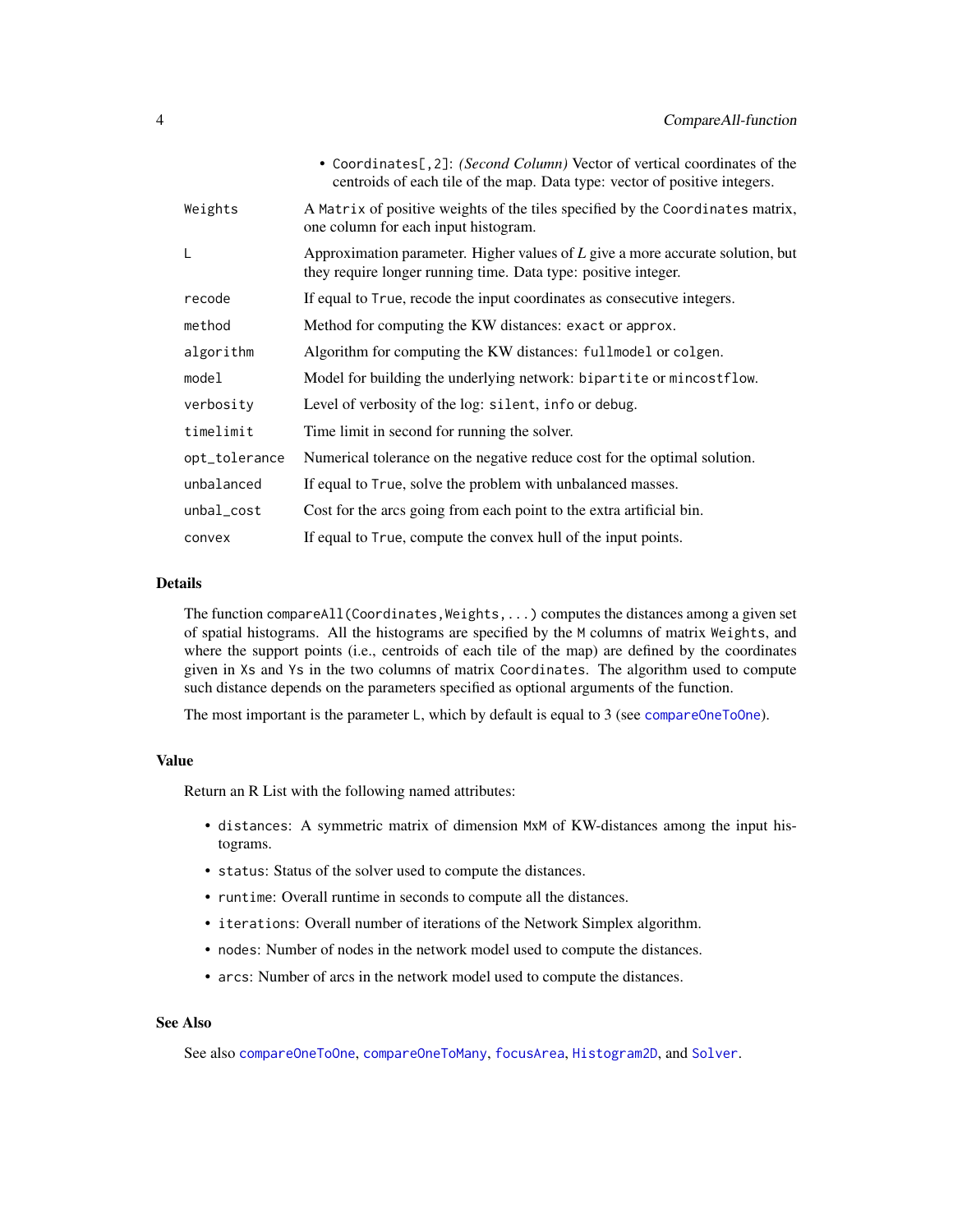<span id="page-3-0"></span>

|               | • Coordinates[, 2]: (Second Column) Vector of vertical coordinates of the<br>centroids of each tile of the map. Data type: vector of positive integers. |
|---------------|---------------------------------------------------------------------------------------------------------------------------------------------------------|
| Weights       | A Matrix of positive weights of the tiles specified by the Coordinates matrix,<br>one column for each input histogram.                                  |
| L             | Approximation parameter. Higher values of $L$ give a more accurate solution, but<br>they require longer running time. Data type: positive integer.      |
| recode        | If equal to True, recode the input coordinates as consecutive integers.                                                                                 |
| method        | Method for computing the KW distances: exact or approx.                                                                                                 |
| algorithm     | Algorithm for computing the KW distances: fullmodel or colgen.                                                                                          |
| model         | Model for building the underlying network: bipartite or mincostflow.                                                                                    |
| verbosity     | Level of verbosity of the log: silent, info or debug.                                                                                                   |
| timelimit     | Time limit in second for running the solver.                                                                                                            |
| opt_tolerance | Numerical tolerance on the negative reduce cost for the optimal solution.                                                                               |
| unbalanced    | If equal to True, solve the problem with unbalanced masses.                                                                                             |
| unbal_cost    | Cost for the arcs going from each point to the extra artificial bin.                                                                                    |
| convex        | If equal to True, compute the convex hull of the input points.                                                                                          |

#### Details

The function compareAll(Coordinates, Weights,  $\dots$ ) computes the distances among a given set of spatial histograms. All the histograms are specified by the M columns of matrix Weights, and where the support points (i.e., centroids of each tile of the map) are defined by the coordinates given in Xs and Ys in the two columns of matrix Coordinates. The algorithm used to compute such distance depends on the parameters specified as optional arguments of the function.

The most important is the parameter L, which by default is equal to 3 (see [compareOneToOne](#page-6-1)).

# Value

Return an R List with the following named attributes:

- distances: A symmetric matrix of dimension MxM of KW-distances among the input histograms.
- status: Status of the solver used to compute the distances.
- runtime: Overall runtime in seconds to compute all the distances.
- iterations: Overall number of iterations of the Network Simplex algorithm.
- nodes: Number of nodes in the network model used to compute the distances.
- arcs: Number of arcs in the network model used to compute the distances.

# See Also

See also [compareOneToOne](#page-6-1), [compareOneToMany](#page-4-1), [focusArea](#page-9-1), [Histogram2D](#page-12-1), and [Solver](#page-13-1).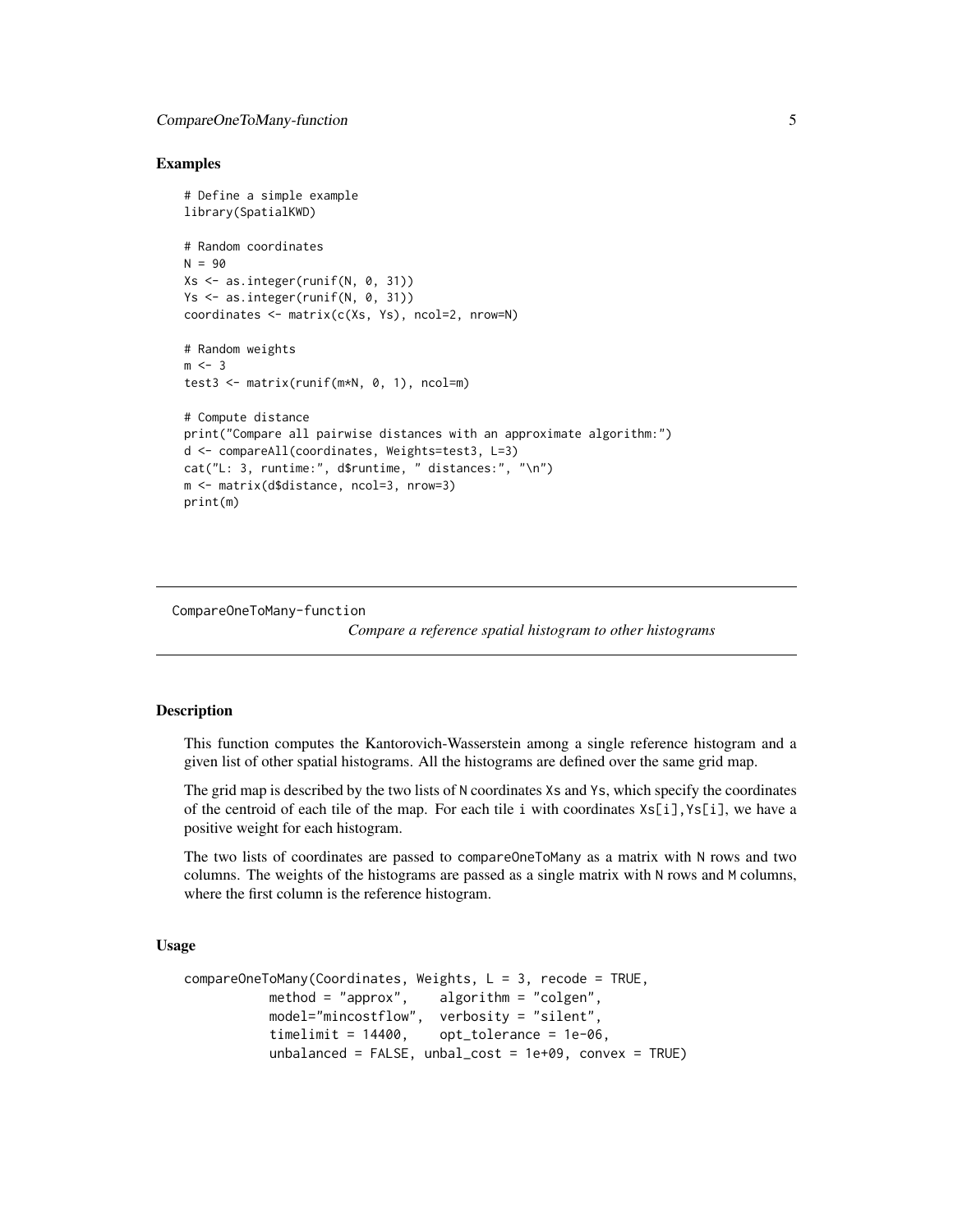# <span id="page-4-0"></span>Examples

```
# Define a simple example
library(SpatialKWD)
# Random coordinates
N = 90Xs \leftarrow as.integer(runif(N, 0, 31))Ys <- as.integer(runif(N, 0, 31))
coordinates <- matrix(c(Xs, Ys), ncol=2, nrow=N)
# Random weights
m < -3test3 <- matrix(runif(m*N, 0, 1), ncol=m)
# Compute distance
print("Compare all pairwise distances with an approximate algorithm:")
d <- compareAll(coordinates, Weights=test3, L=3)
cat("L: 3, runtime:", d$runtime, " distances:", "\n")
m <- matrix(d$distance, ncol=3, nrow=3)
print(m)
```
CompareOneToMany-function

*Compare a reference spatial histogram to other histograms*

# <span id="page-4-1"></span>Description

This function computes the Kantorovich-Wasserstein among a single reference histogram and a given list of other spatial histograms. All the histograms are defined over the same grid map.

The grid map is described by the two lists of N coordinates Xs and Ys, which specify the coordinates of the centroid of each tile of the map. For each tile i with coordinates  $Xs[i], Ys[i],$  we have a positive weight for each histogram.

The two lists of coordinates are passed to compareOneToMany as a matrix with N rows and two columns. The weights of the histograms are passed as a single matrix with N rows and M columns, where the first column is the reference histogram.

# Usage

```
compareOneToMany(Coordinates, Weights, L = 3, recode = TRUE,
          method = "approx", algorithm = "colgen",
          model="mincostflow", verbosity = "silent",
          timelimit = 14400, opt_tolerance = 1e-06,
          unbalanced = FALSE, unbal_cost = 1e+09, convex = TRUE)
```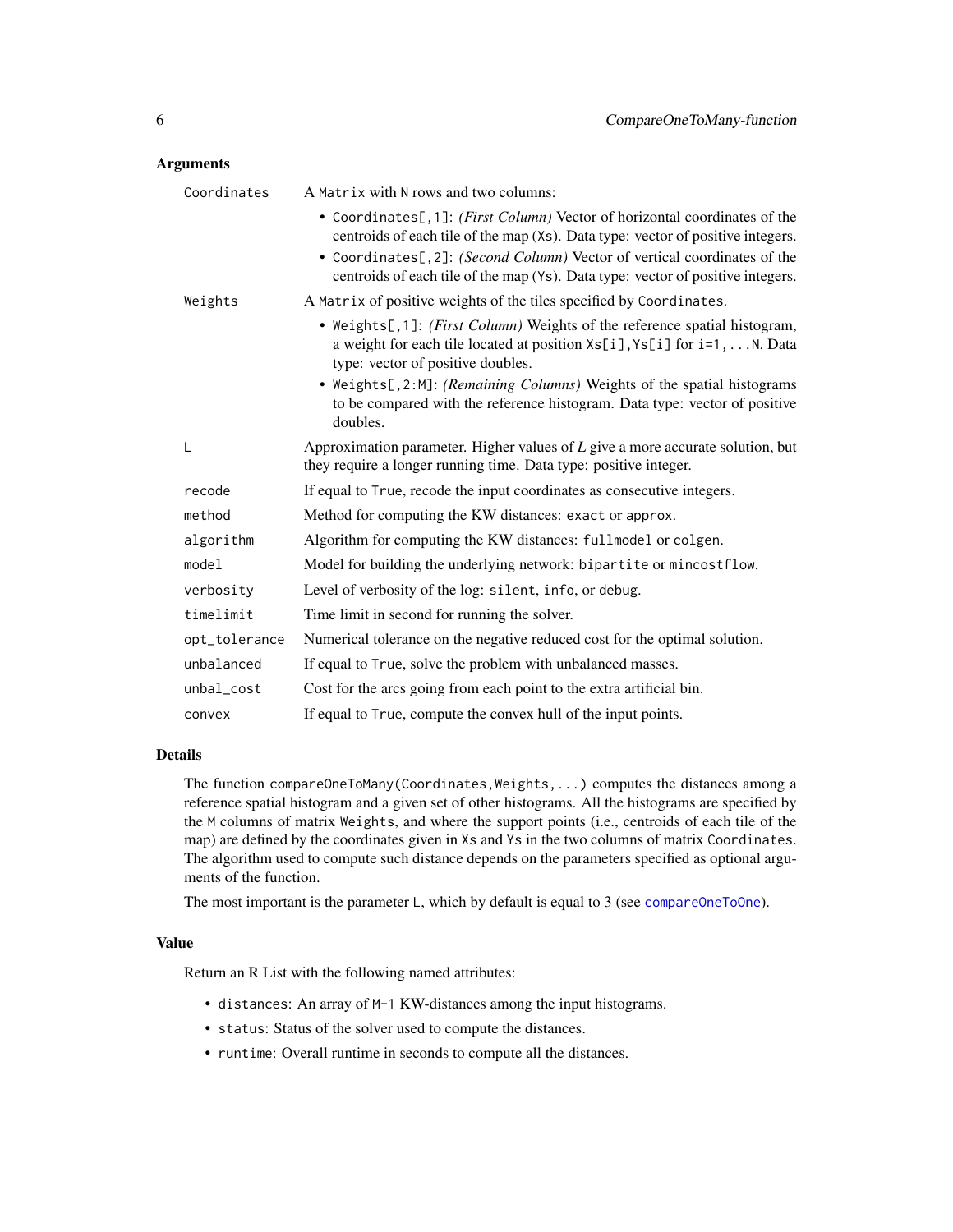#### <span id="page-5-0"></span>Arguments

| Coordinates   | A Matrix with N rows and two columns:                                                                                                                                                                                 |
|---------------|-----------------------------------------------------------------------------------------------------------------------------------------------------------------------------------------------------------------------|
|               | • Coordinates[,1]: (First Column) Vector of horizontal coordinates of the<br>centroids of each tile of the map (Xs). Data type: vector of positive integers.                                                          |
|               | • Coordinates[, 2]: (Second Column) Vector of vertical coordinates of the<br>centroids of each tile of the map (Ys). Data type: vector of positive integers.                                                          |
| Weights       | A Matrix of positive weights of the tiles specified by Coordinates.                                                                                                                                                   |
|               | • Weights[,1]: (First Column) Weights of the reference spatial histogram,<br>a weight for each tile located at position $\lambda s[i], \lambda s[i]$ for $i=1, \ldots, N$ . Data<br>type: vector of positive doubles. |
|               | • Weights[,2:M]: (Remaining Columns) Weights of the spatial histograms<br>to be compared with the reference histogram. Data type: vector of positive<br>doubles.                                                      |
| L             | Approximation parameter. Higher values of $L$ give a more accurate solution, but<br>they require a longer running time. Data type: positive integer.                                                                  |
| recode        | If equal to True, recode the input coordinates as consecutive integers.                                                                                                                                               |
| method        | Method for computing the KW distances: exact or approx.                                                                                                                                                               |
| algorithm     | Algorithm for computing the KW distances: fullmodel or colgen.                                                                                                                                                        |
| model         | Model for building the underlying network: bipartite or mincostflow.                                                                                                                                                  |
| verbosity     | Level of verbosity of the log: silent, info, or debug.                                                                                                                                                                |
| timelimit     | Time limit in second for running the solver.                                                                                                                                                                          |
| opt_tolerance | Numerical tolerance on the negative reduced cost for the optimal solution.                                                                                                                                            |
| unbalanced    | If equal to True, solve the problem with unbalanced masses.                                                                                                                                                           |
| unbal_cost    | Cost for the arcs going from each point to the extra artificial bin.                                                                                                                                                  |
| convex        | If equal to True, compute the convex hull of the input points.                                                                                                                                                        |

# Details

The function compareOneToMany(Coordinates,Weights,...) computes the distances among a reference spatial histogram and a given set of other histograms. All the histograms are specified by the M columns of matrix Weights, and where the support points (i.e., centroids of each tile of the map) are defined by the coordinates given in Xs and Ys in the two columns of matrix Coordinates. The algorithm used to compute such distance depends on the parameters specified as optional arguments of the function.

The most important is the parameter L, which by default is equal to 3 (see [compareOneToOne](#page-6-1)).

# Value

Return an R List with the following named attributes:

- distances: An array of M-1 KW-distances among the input histograms.
- status: Status of the solver used to compute the distances.
- runtime: Overall runtime in seconds to compute all the distances.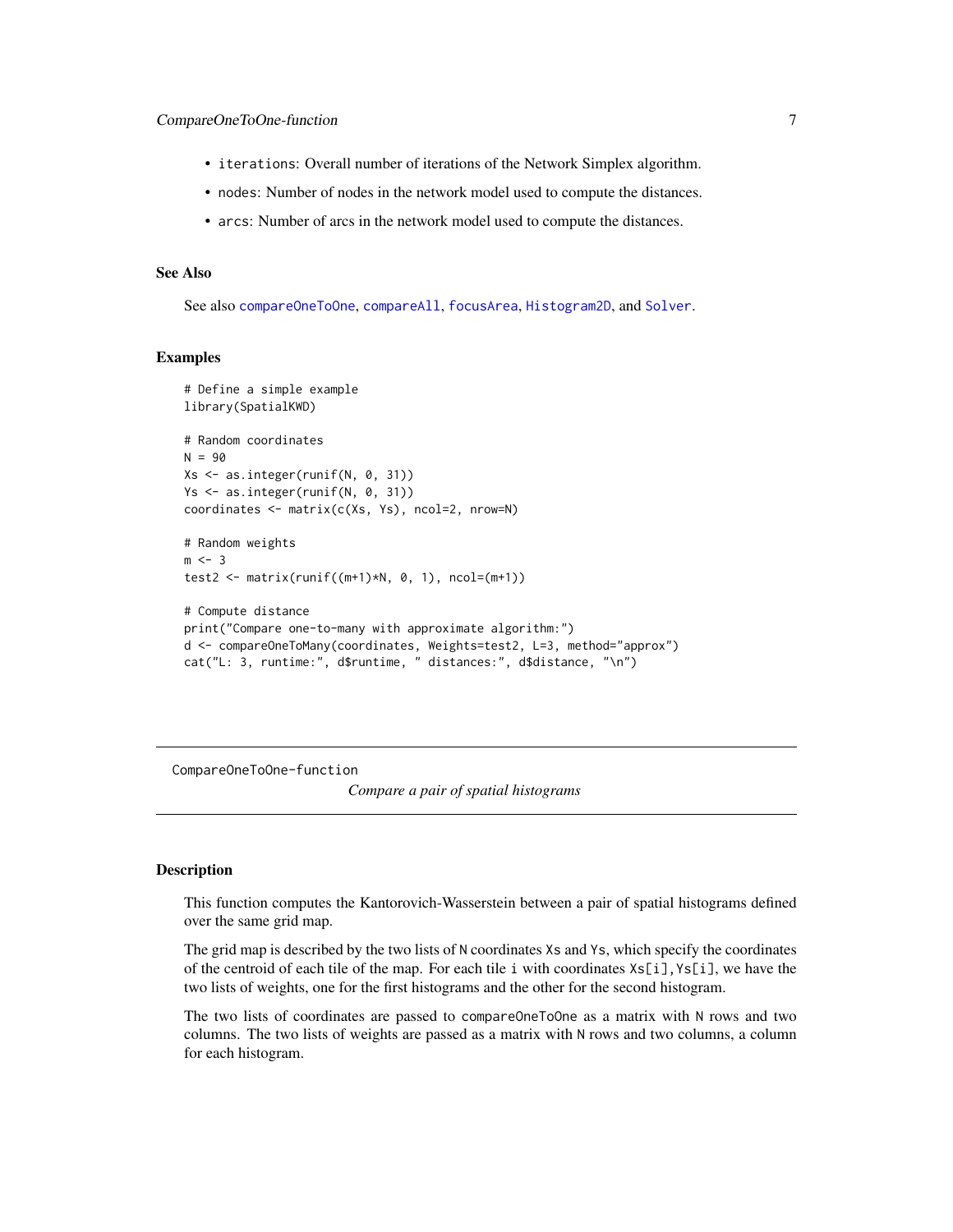- <span id="page-6-0"></span>• iterations: Overall number of iterations of the Network Simplex algorithm.
- nodes: Number of nodes in the network model used to compute the distances.
- arcs: Number of arcs in the network model used to compute the distances.

# See Also

See also [compareOneToOne](#page-6-1), [compareAll](#page-2-1), [focusArea](#page-9-1), [Histogram2D](#page-12-1), and [Solver](#page-13-1).

# Examples

```
# Define a simple example
library(SpatialKWD)
# Random coordinates
N = 90Xs <- as.integer(runif(N, 0, 31))
Ys <- as.integer(runif(N, 0, 31))
coordinates <- matrix(c(Xs, Ys), ncol=2, nrow=N)
# Random weights
m < -3test2 <- matrix(runif((m+1)*N, 0, 1), ncol=(m+1))# Compute distance
print("Compare one-to-many with approximate algorithm:")
d <- compareOneToMany(coordinates, Weights=test2, L=3, method="approx")
cat("L: 3, runtime:", d$runtime, " distances:", d$distance, "\n")
```
CompareOneToOne-function

*Compare a pair of spatial histograms*

#### <span id="page-6-1"></span>Description

This function computes the Kantorovich-Wasserstein between a pair of spatial histograms defined over the same grid map.

The grid map is described by the two lists of N coordinates Xs and Ys, which specify the coordinates of the centroid of each tile of the map. For each tile i with coordinates  $Xs[i], Ys[i],$  we have the two lists of weights, one for the first histograms and the other for the second histogram.

The two lists of coordinates are passed to compareOneToOne as a matrix with N rows and two columns. The two lists of weights are passed as a matrix with N rows and two columns, a column for each histogram.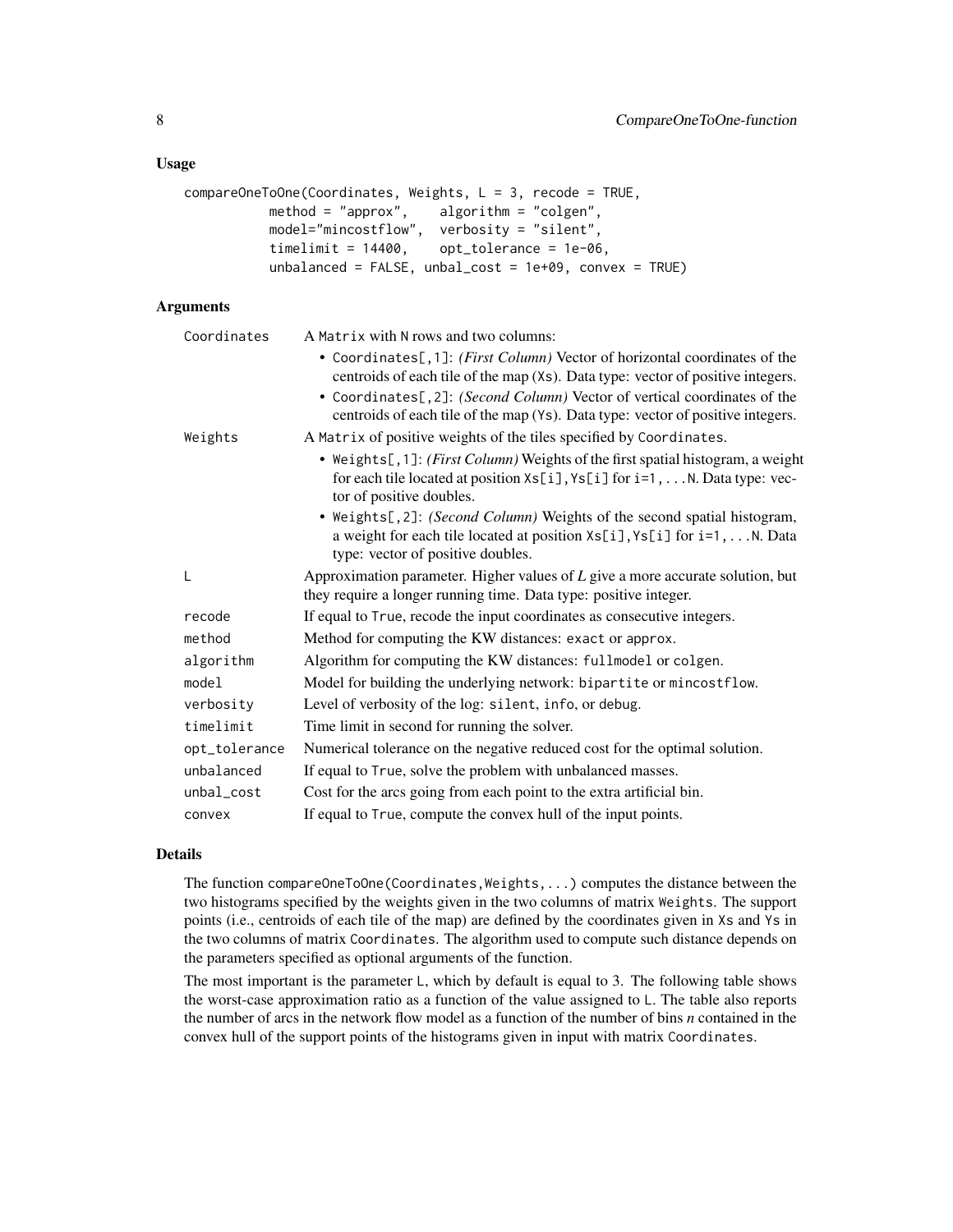# Usage

```
compareOneToOne(Coordinates, Weights, L = 3, recode = TRUE,
          method = "approx", algorithm = "colgen",
          model="mincostflow", verbosity = "silent",
          timelimit = 14400, opt_tolerance = 1e-06,
          unbalanced = FALSE, unbal_cost = 1e+09, convex = TRUE)
```
# Arguments

| Coordinates   | A Matrix with N rows and two columns:                                                                                                                                                                             |
|---------------|-------------------------------------------------------------------------------------------------------------------------------------------------------------------------------------------------------------------|
|               | • Coordinates[,1]: (First Column) Vector of horizontal coordinates of the<br>centroids of each tile of the map (Xs). Data type: vector of positive integers.                                                      |
|               | • Coordinates[,2]: (Second Column) Vector of vertical coordinates of the<br>centroids of each tile of the map (Ys). Data type: vector of positive integers.                                                       |
| Weights       | A Matrix of positive weights of the tiles specified by Coordinates.                                                                                                                                               |
|               | • Weights[, 1]: (First Column) Weights of the first spatial histogram, a weight<br>for each tile located at position $Xs[i], Ys[i]$ for $i=1,N$ . Data type: vec-<br>tor of positive doubles.                     |
|               | • Weights[,2]: (Second Column) Weights of the second spatial histogram,<br>a weight for each tile located at position $\lambda s[i], \gamma s[i]$ for $i=1, \ldots N$ . Data<br>type: vector of positive doubles. |
| L             | Approximation parameter. Higher values of $L$ give a more accurate solution, but<br>they require a longer running time. Data type: positive integer.                                                              |
| recode        | If equal to True, recode the input coordinates as consecutive integers.                                                                                                                                           |
| method        | Method for computing the KW distances: exact or approx.                                                                                                                                                           |
| algorithm     | Algorithm for computing the KW distances: fullmodel or colgen.                                                                                                                                                    |
| model         | Model for building the underlying network: bipartite or mincostflow.                                                                                                                                              |
| verbosity     | Level of verbosity of the log: silent, info, or debug.                                                                                                                                                            |
| timelimit     | Time limit in second for running the solver.                                                                                                                                                                      |
| opt_tolerance | Numerical tolerance on the negative reduced cost for the optimal solution.                                                                                                                                        |
| unbalanced    | If equal to True, solve the problem with unbalanced masses.                                                                                                                                                       |
| unbal_cost    | Cost for the arcs going from each point to the extra artificial bin.                                                                                                                                              |
| convex        | If equal to True, compute the convex hull of the input points.                                                                                                                                                    |

# Details

The function compareOneToOne(Coordinates, Weights, ...) computes the distance between the two histograms specified by the weights given in the two columns of matrix Weights. The support points (i.e., centroids of each tile of the map) are defined by the coordinates given in Xs and Ys in the two columns of matrix Coordinates. The algorithm used to compute such distance depends on the parameters specified as optional arguments of the function.

The most important is the parameter L, which by default is equal to 3. The following table shows the worst-case approximation ratio as a function of the value assigned to L. The table also reports the number of arcs in the network flow model as a function of the number of bins *n* contained in the convex hull of the support points of the histograms given in input with matrix Coordinates.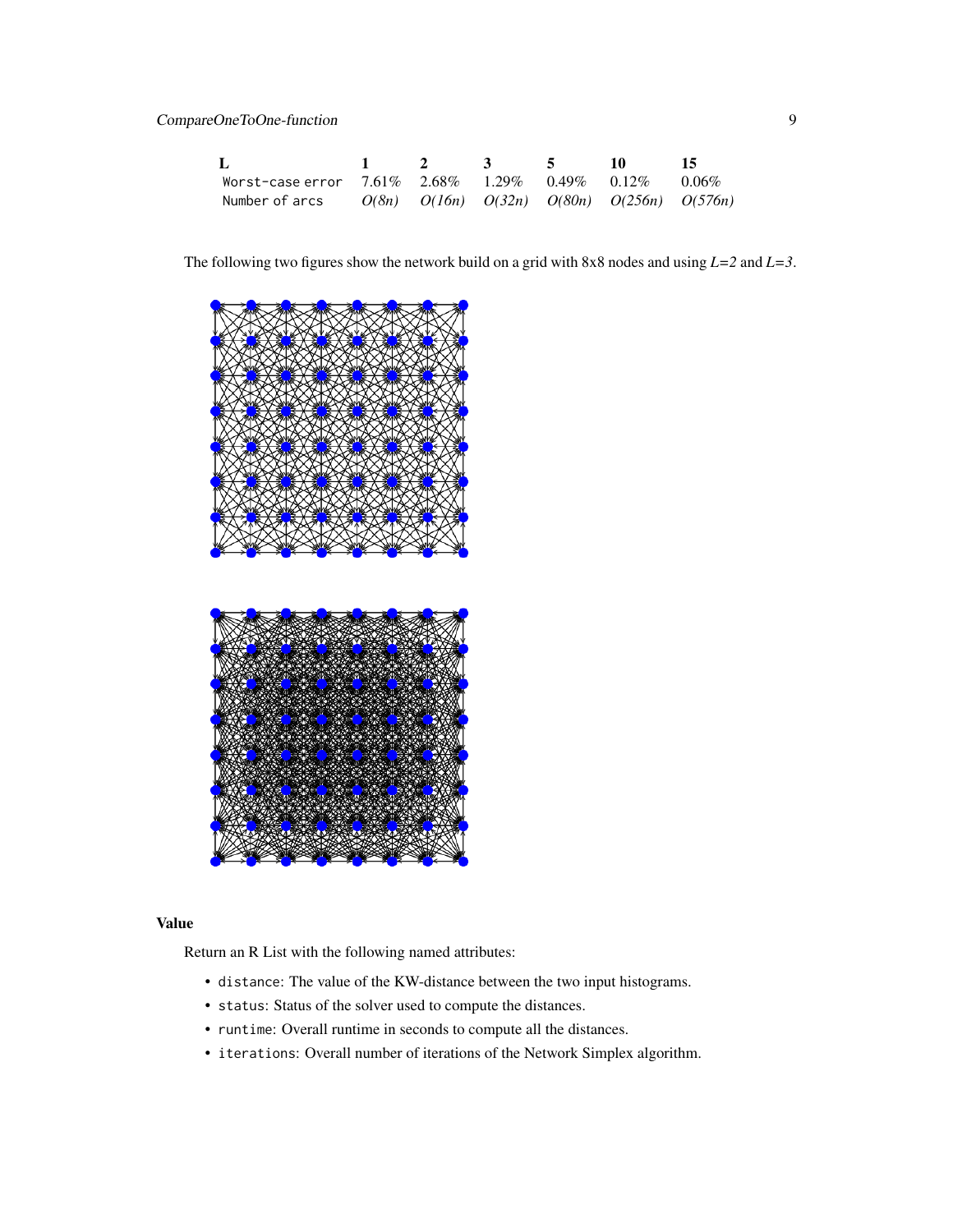| L                                                                      |  | $1 \quad 2 \quad 3 \quad 5$ | -10 - | -15 |
|------------------------------------------------------------------------|--|-----------------------------|-------|-----|
| Worst-case error $7.61\%$ $2.68\%$ $1.29\%$ $0.49\%$ $0.12\%$ $0.06\%$ |  |                             |       |     |
| Number of arcs $O(8n)$ $O(16n)$ $O(32n)$ $O(80n)$ $O(256n)$ $O(576n)$  |  |                             |       |     |

The following two figures show the network build on a grid with 8x8 nodes and using *L=2* and *L=3*.





# Value

Return an R List with the following named attributes:

- distance: The value of the KW-distance between the two input histograms.
- status: Status of the solver used to compute the distances.
- runtime: Overall runtime in seconds to compute all the distances.
- iterations: Overall number of iterations of the Network Simplex algorithm.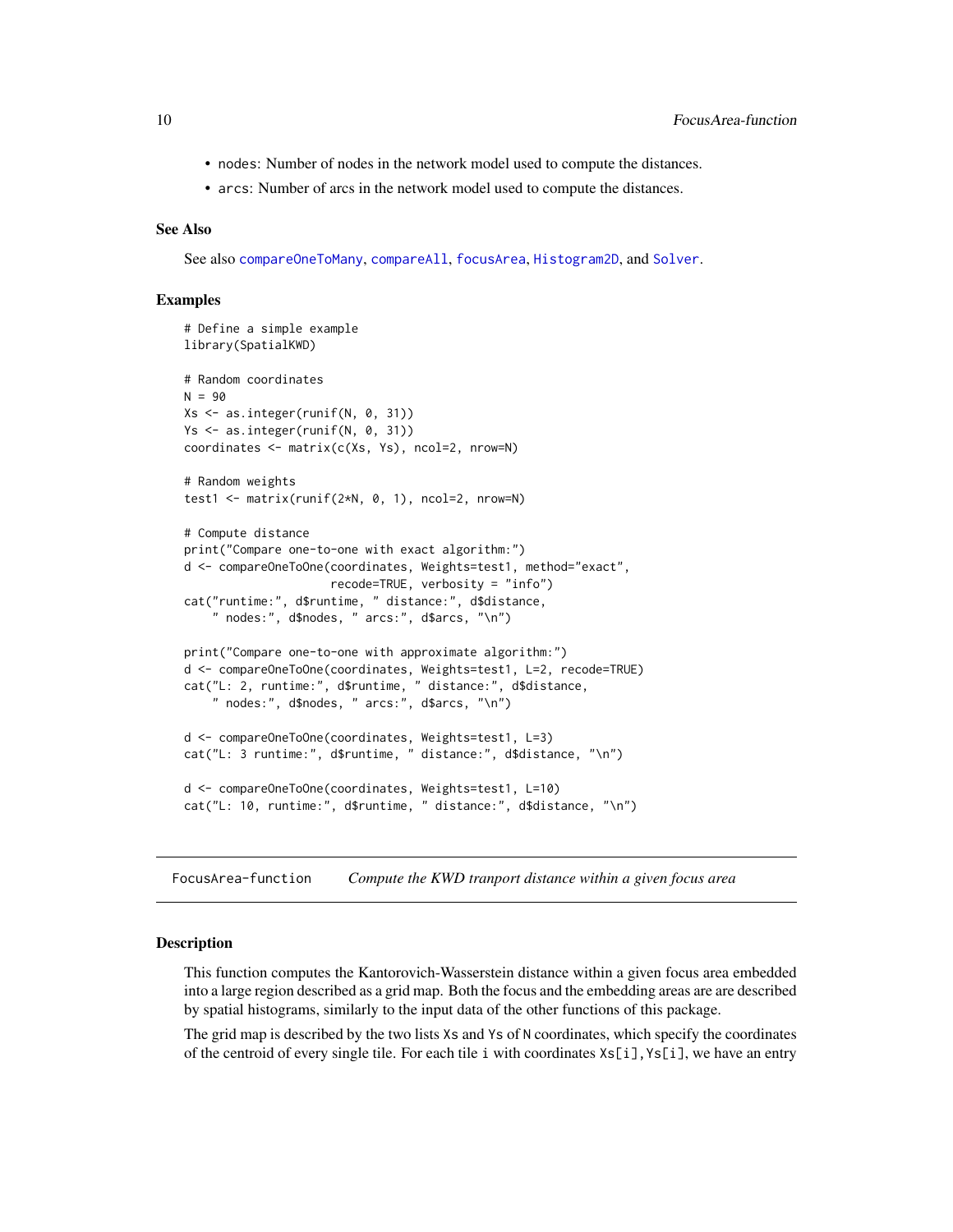- <span id="page-9-0"></span>• nodes: Number of nodes in the network model used to compute the distances.
- arcs: Number of arcs in the network model used to compute the distances.

# See Also

See also [compareOneToMany](#page-4-1), [compareAll](#page-2-1), [focusArea](#page-9-1), [Histogram2D](#page-12-1), and [Solver](#page-13-1).

# Examples

```
# Define a simple example
library(SpatialKWD)
# Random coordinates
N = 90Xs \leftarrow as.integer(runif(N, 0, 31))Ys <- as.integer(runif(N, 0, 31))
coordinates <- matrix(c(Xs, Ys), ncol=2, nrow=N)
# Random weights
test1 <- matrix(runif(2*N, 0, 1), ncol=2, nrow=N)
# Compute distance
print("Compare one-to-one with exact algorithm:")
d <- compareOneToOne(coordinates, Weights=test1, method="exact",
                     recode=TRUE, verbosity = "info")
cat("runtime:", d$runtime, " distance:", d$distance,
    " nodes:", d$nodes, " arcs:", d$arcs, "\n")
print("Compare one-to-one with approximate algorithm:")
d <- compareOneToOne(coordinates, Weights=test1, L=2, recode=TRUE)
cat("L: 2, runtime:", d$runtime, " distance:", d$distance,
    " nodes:", d$nodes, " arcs:", d$arcs, "\n")
d <- compareOneToOne(coordinates, Weights=test1, L=3)
cat("L: 3 runtime:", d$runtime, " distance:", d$distance, "\n")
d <- compareOneToOne(coordinates, Weights=test1, L=10)
cat("L: 10, runtime:", d$runtime, " distance:", d$distance, "\n")
```
FocusArea-function *Compute the KWD tranport distance within a given focus area*

#### <span id="page-9-1"></span>**Description**

This function computes the Kantorovich-Wasserstein distance within a given focus area embedded into a large region described as a grid map. Both the focus and the embedding areas are are described by spatial histograms, similarly to the input data of the other functions of this package.

The grid map is described by the two lists Xs and Ys of N coordinates, which specify the coordinates of the centroid of every single tile. For each tile i with coordinates Xs[i],Ys[i], we have an entry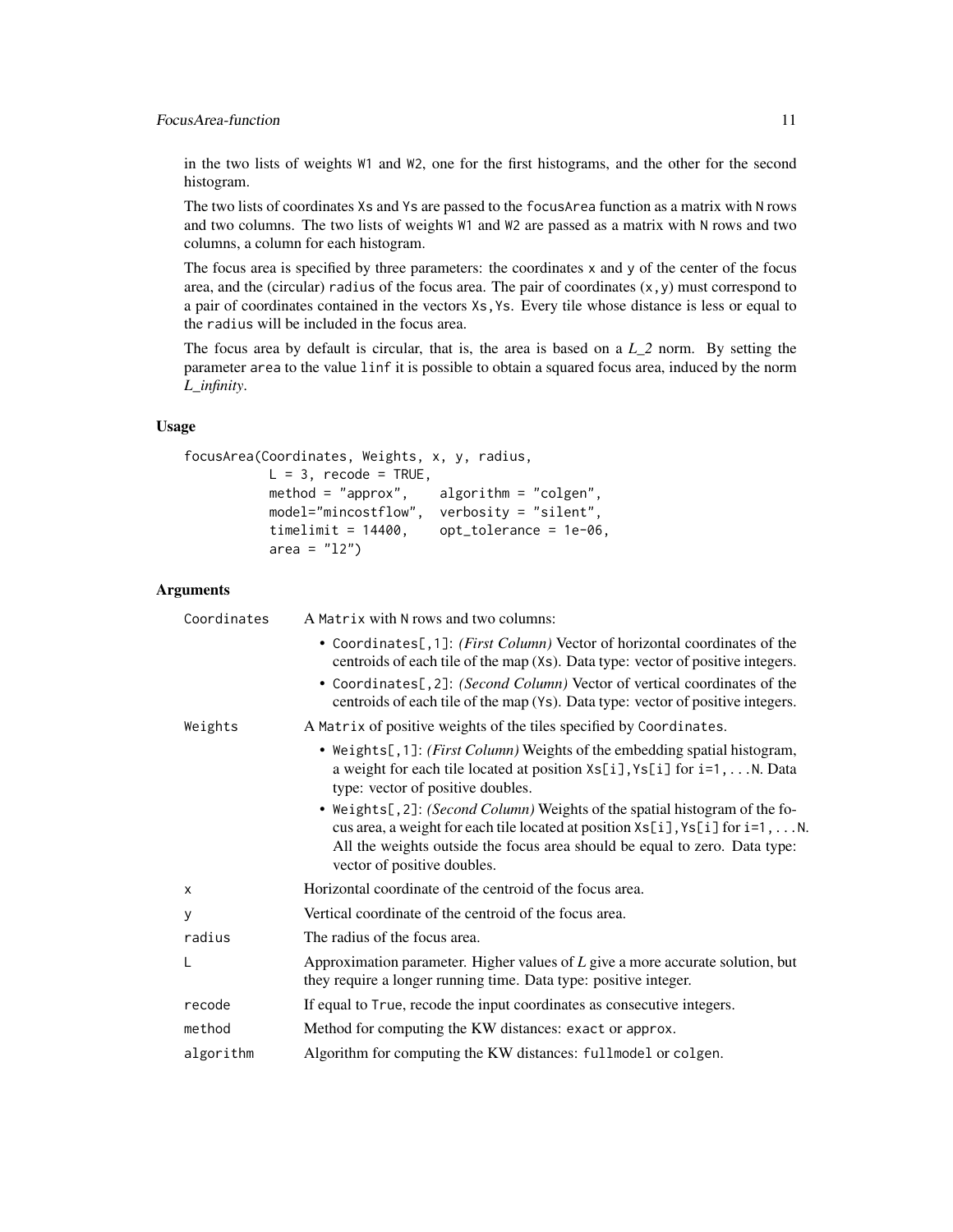# FocusArea-function 11

in the two lists of weights W1 and W2, one for the first histograms, and the other for the second histogram.

The two lists of coordinates Xs and Ys are passed to the focusArea function as a matrix with N rows and two columns. The two lists of weights W1 and W2 are passed as a matrix with N rows and two columns, a column for each histogram.

The focus area is specified by three parameters: the coordinates x and y of the center of the focus area, and the (circular) radius of the focus area. The pair of coordinates  $(x, y)$  must correspond to a pair of coordinates contained in the vectors Xs,Ys. Every tile whose distance is less or equal to the radius will be included in the focus area.

The focus area by default is circular, that is, the area is based on a *L\_2* norm. By setting the parameter area to the value linf it is possible to obtain a squared focus area, induced by the norm *L\_infinity*.

# Usage

```
focusArea(Coordinates, Weights, x, y, radius,
          L = 3, recode = TRUE,
          method = "approx", algorithm = "colgen",
          model="mincostflow", verbosity = "silent",
          timelimit = 14400, opt_tolerance = 1e-06,
          area = "12")
```
# Arguments

| Coordinates | A Matrix with N rows and two columns:                                                                                                                                                                                                                                                                                        |
|-------------|------------------------------------------------------------------------------------------------------------------------------------------------------------------------------------------------------------------------------------------------------------------------------------------------------------------------------|
|             | • Coordinates[,1]: (First Column) Vector of horizontal coordinates of the<br>centroids of each tile of the map (Xs). Data type: vector of positive integers.<br>• Coordinates[, 2]: (Second Column) Vector of vertical coordinates of the<br>centroids of each tile of the map (Ys). Data type: vector of positive integers. |
| Weights     | A Matrix of positive weights of the tiles specified by Coordinates.                                                                                                                                                                                                                                                          |
|             | • Weights[,1]: (First Column) Weights of the embedding spatial histogram,<br>a weight for each tile located at position Xs[i], Ys[i] for i=1,  N. Data<br>type: vector of positive doubles.                                                                                                                                  |
|             | • Weights[, 2]: (Second Column) Weights of the spatial histogram of the fo-<br>cus area, a weight for each tile located at position $\exists s[i], \forall s[i]$ for $i=1, \ldots, N$ .<br>All the weights outside the focus area should be equal to zero. Data type:<br>vector of positive doubles.                         |
| X           | Horizontal coordinate of the centroid of the focus area.                                                                                                                                                                                                                                                                     |
| y           | Vertical coordinate of the centroid of the focus area.                                                                                                                                                                                                                                                                       |
| radius      | The radius of the focus area.                                                                                                                                                                                                                                                                                                |
|             | Approximation parameter. Higher values of $L$ give a more accurate solution, but<br>they require a longer running time. Data type: positive integer.                                                                                                                                                                         |
| recode      | If equal to True, recode the input coordinates as consecutive integers.                                                                                                                                                                                                                                                      |
| method      | Method for computing the KW distances: exact or approx.                                                                                                                                                                                                                                                                      |
| algorithm   | Algorithm for computing the KW distances: fullmodel or colgen.                                                                                                                                                                                                                                                               |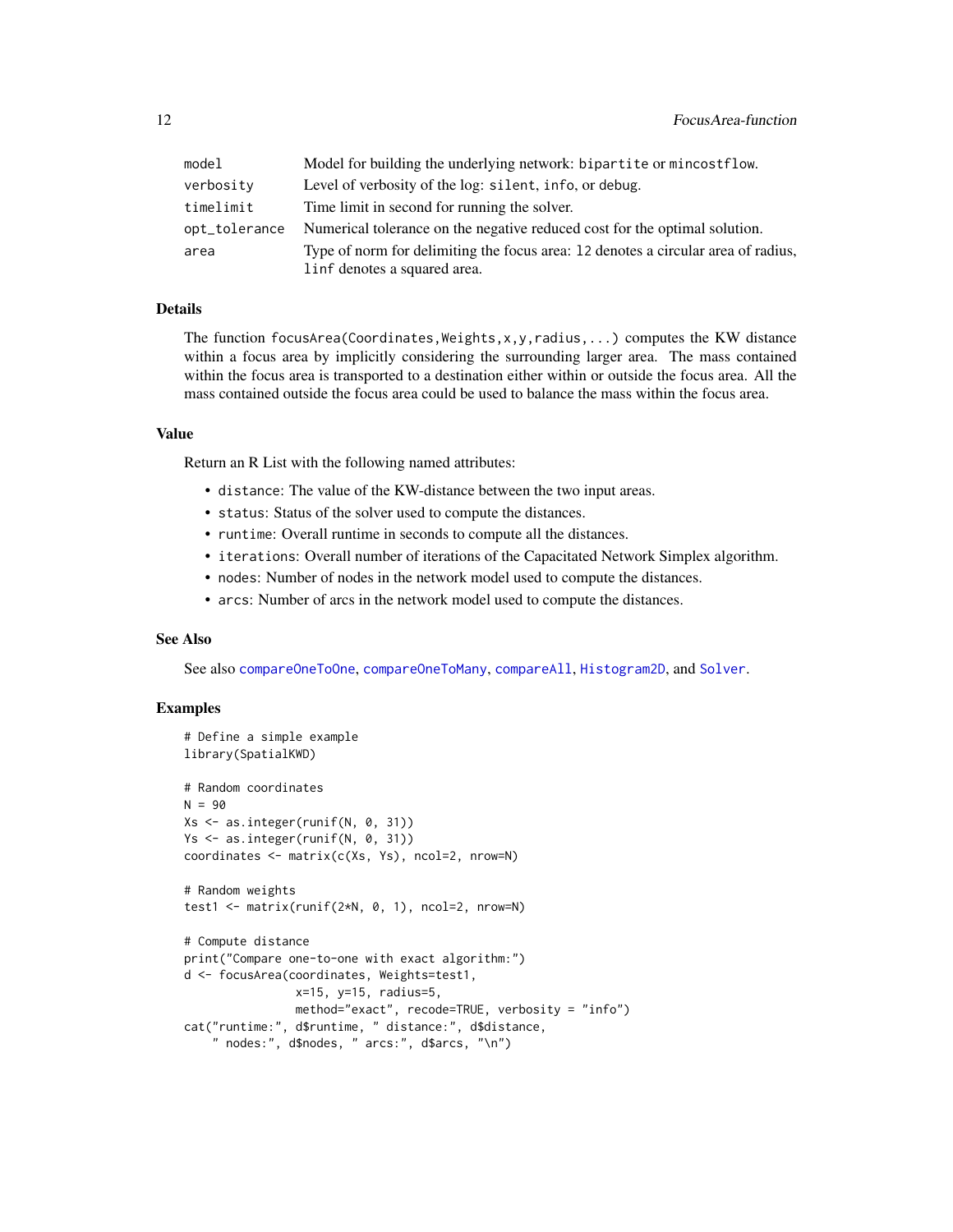<span id="page-11-0"></span>

| model         | Model for building the underlying network: bipartite or mincostflow.              |
|---------------|-----------------------------------------------------------------------------------|
| verbosity     | Level of verbosity of the log: silent, info, or debug.                            |
| timelimit     | Time limit in second for running the solver.                                      |
| opt_tolerance | Numerical tolerance on the negative reduced cost for the optimal solution.        |
| area          | Type of norm for delimiting the focus area: 12 denotes a circular area of radius, |
|               | linf denotes a squared area.                                                      |

# Details

The function focusArea(Coordinates, Weights, x, y, radius,...) computes the KW distance within a focus area by implicitly considering the surrounding larger area. The mass contained within the focus area is transported to a destination either within or outside the focus area. All the mass contained outside the focus area could be used to balance the mass within the focus area.

# Value

Return an R List with the following named attributes:

- distance: The value of the KW-distance between the two input areas.
- status: Status of the solver used to compute the distances.
- runtime: Overall runtime in seconds to compute all the distances.
- iterations: Overall number of iterations of the Capacitated Network Simplex algorithm.
- nodes: Number of nodes in the network model used to compute the distances.
- arcs: Number of arcs in the network model used to compute the distances.

# See Also

See also [compareOneToOne](#page-6-1), [compareOneToMany](#page-4-1), [compareAll](#page-2-1), [Histogram2D](#page-12-1), and [Solver](#page-13-1).

### Examples

```
# Define a simple example
library(SpatialKWD)
# Random coordinates
N = 90Xs <- as.integer(runif(N, 0, 31))
Ys <- as.integer(runif(N, 0, 31))
coordinates <- matrix(c(Xs, Ys), ncol=2, nrow=N)
# Random weights
test1 <- matrix(runif(2*N, 0, 1), ncol=2, nrow=N)
# Compute distance
print("Compare one-to-one with exact algorithm:")
d <- focusArea(coordinates, Weights=test1,
                x=15, y=15, radius=5,
                method="exact", recode=TRUE, verbosity = "info")
cat("runtime:", d$runtime, " distance:", d$distance,
    " nodes:", d$nodes, " arcs:", d$arcs, "\n")
```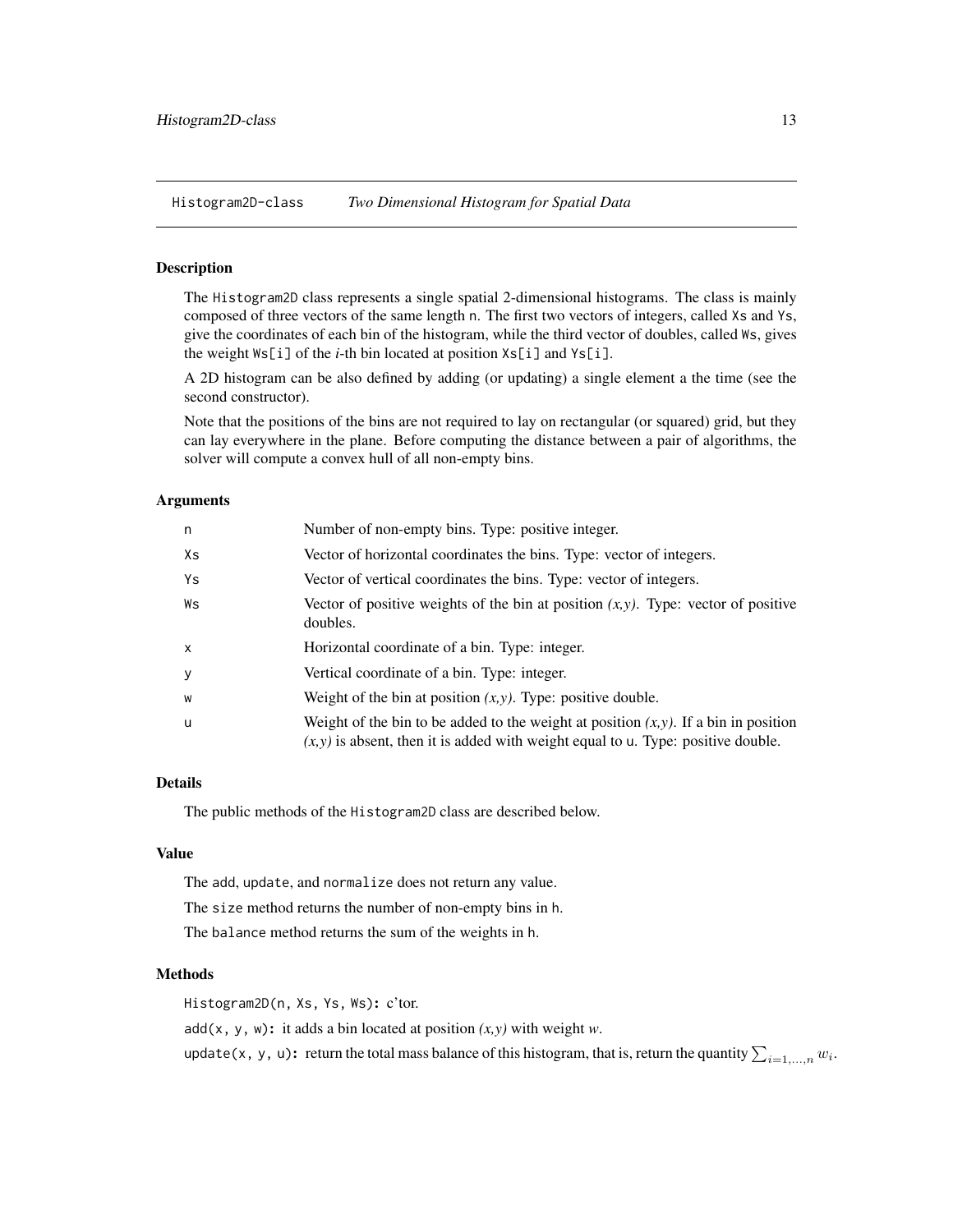<span id="page-12-0"></span>Histogram2D-class *Two Dimensional Histogram for Spatial Data*

# <span id="page-12-1"></span>Description

The Histogram2D class represents a single spatial 2-dimensional histograms. The class is mainly composed of three vectors of the same length n. The first two vectors of integers, called Xs and Ys, give the coordinates of each bin of the histogram, while the third vector of doubles, called Ws, gives the weight Ws[i] of the *i*-th bin located at position Xs[i] and Ys[i].

A 2D histogram can be also defined by adding (or updating) a single element a the time (see the second constructor).

Note that the positions of the bins are not required to lay on rectangular (or squared) grid, but they can lay everywhere in the plane. Before computing the distance between a pair of algorithms, the solver will compute a convex hull of all non-empty bins.

#### Arguments

| n            | Number of non-empty bins. Type: positive integer.                                                                                                                              |
|--------------|--------------------------------------------------------------------------------------------------------------------------------------------------------------------------------|
| Xs           | Vector of horizontal coordinates the bins. Type: vector of integers.                                                                                                           |
| Ys           | Vector of vertical coordinates the bins. Type: vector of integers.                                                                                                             |
| Ws           | Vector of positive weights of the bin at position $(x, y)$ . Type: vector of positive<br>doubles.                                                                              |
| $\mathsf{x}$ | Horizontal coordinate of a bin. Type: integer.                                                                                                                                 |
| y            | Vertical coordinate of a bin. Type: integer.                                                                                                                                   |
| W            | Weight of the bin at position $(x, y)$ . Type: positive double.                                                                                                                |
| u            | Weight of the bin to be added to the weight at position $(x, y)$ . If a bin in position<br>$(x, y)$ is absent, then it is added with weight equal to u. Type: positive double. |

# Details

The public methods of the Histogram2D class are described below.

#### Value

The add, update, and normalize does not return any value.

The size method returns the number of non-empty bins in h.

The balance method returns the sum of the weights in h.

# Methods

Histogram2D(n, Xs, Ys, Ws): c'tor.

add(x, y, w): it adds a bin located at position *(x,y)* with weight *w*.

update(x, y, u): return the total mass balance of this histogram, that is, return the quantity  $\sum_{i=1,...,n}w_i$ .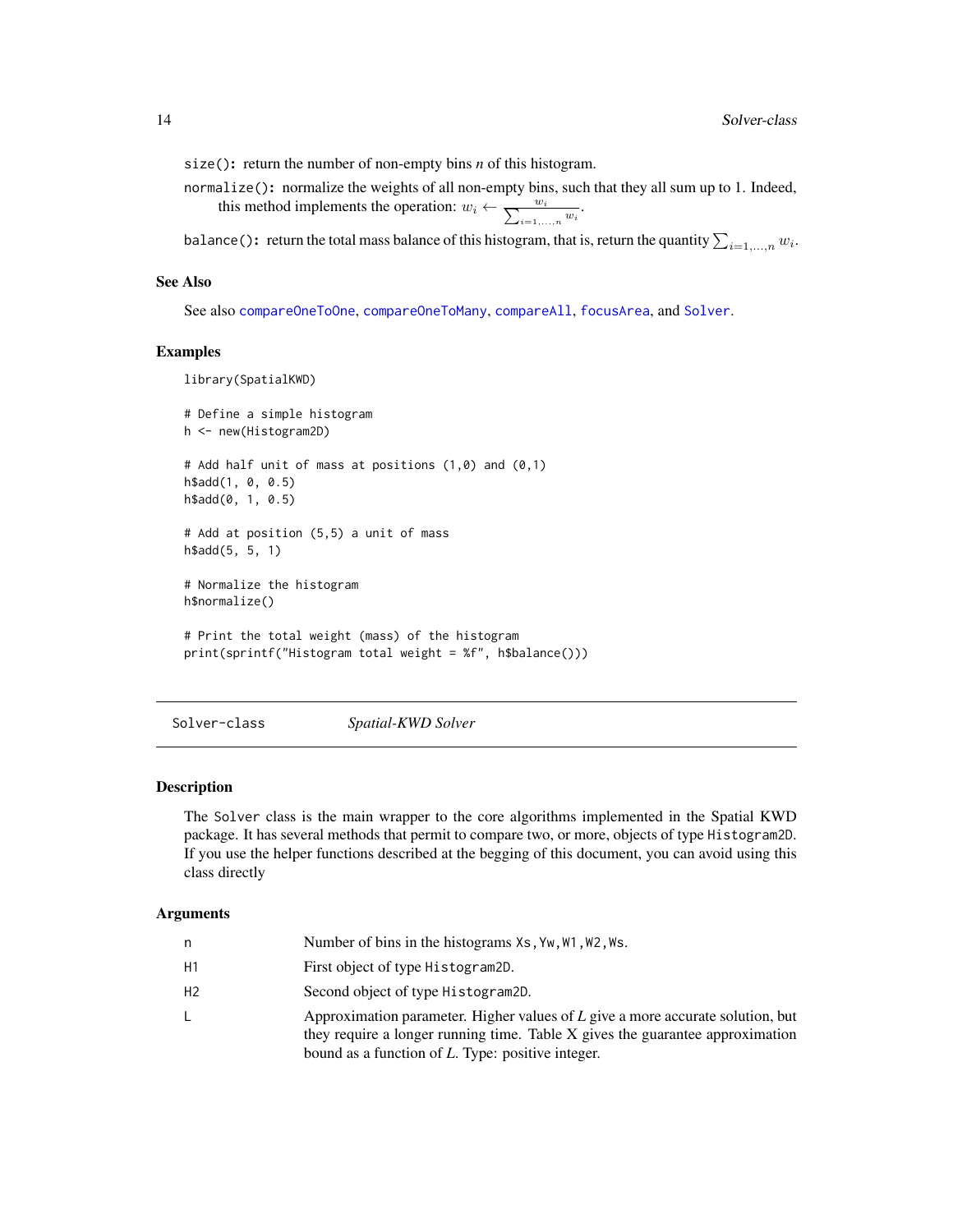<span id="page-13-0"></span>size(): return the number of non-empty bins *n* of this histogram.

normalize(): normalize the weights of all non-empty bins, such that they all sum up to 1. Indeed, this method implements the operation:  $w_i \leftarrow \frac{w_i}{\sum_{i=1,\dots,n} w_i}$ .

balance (): return the total mass balance of this histogram, that is, return the quantity  $\sum_{i=1,...,n} w_i$ .

# See Also

See also [compareOneToOne](#page-6-1), [compareOneToMany](#page-4-1), [compareAll](#page-2-1), [focusArea](#page-9-1), and [Solver](#page-13-1).

#### Examples

```
library(SpatialKWD)
```

```
# Define a simple histogram
h <- new(Histogram2D)
# Add half unit of mass at positions (1,0) and (0,1)
h$add(1, 0, 0.5)
h$add(0, 1, 0.5)
# Add at position (5,5) a unit of mass
h$add(5, 5, 1)
# Normalize the histogram
h$normalize()
# Print the total weight (mass) of the histogram
print(sprintf("Histogram total weight = %f", h$balance()))
```
Solver-class *Spatial-KWD Solver*

#### <span id="page-13-1"></span>Description

The Solver class is the main wrapper to the core algorithms implemented in the Spatial KWD package. It has several methods that permit to compare two, or more, objects of type Histogram2D. If you use the helper functions described at the begging of this document, you can avoid using this class directly

# **Arguments**

| n  | Number of bins in the histograms Xs, Yw, W1, W2, Ws.                                                                                                                                                                    |
|----|-------------------------------------------------------------------------------------------------------------------------------------------------------------------------------------------------------------------------|
| Η1 | First object of type Histogram2D.                                                                                                                                                                                       |
| Η2 | Second object of type Histogram2D.                                                                                                                                                                                      |
|    | Approximation parameter. Higher values of L give a more accurate solution, but<br>they require a longer running time. Table X gives the guarantee approximation<br>bound as a function of $L$ . Type: positive integer. |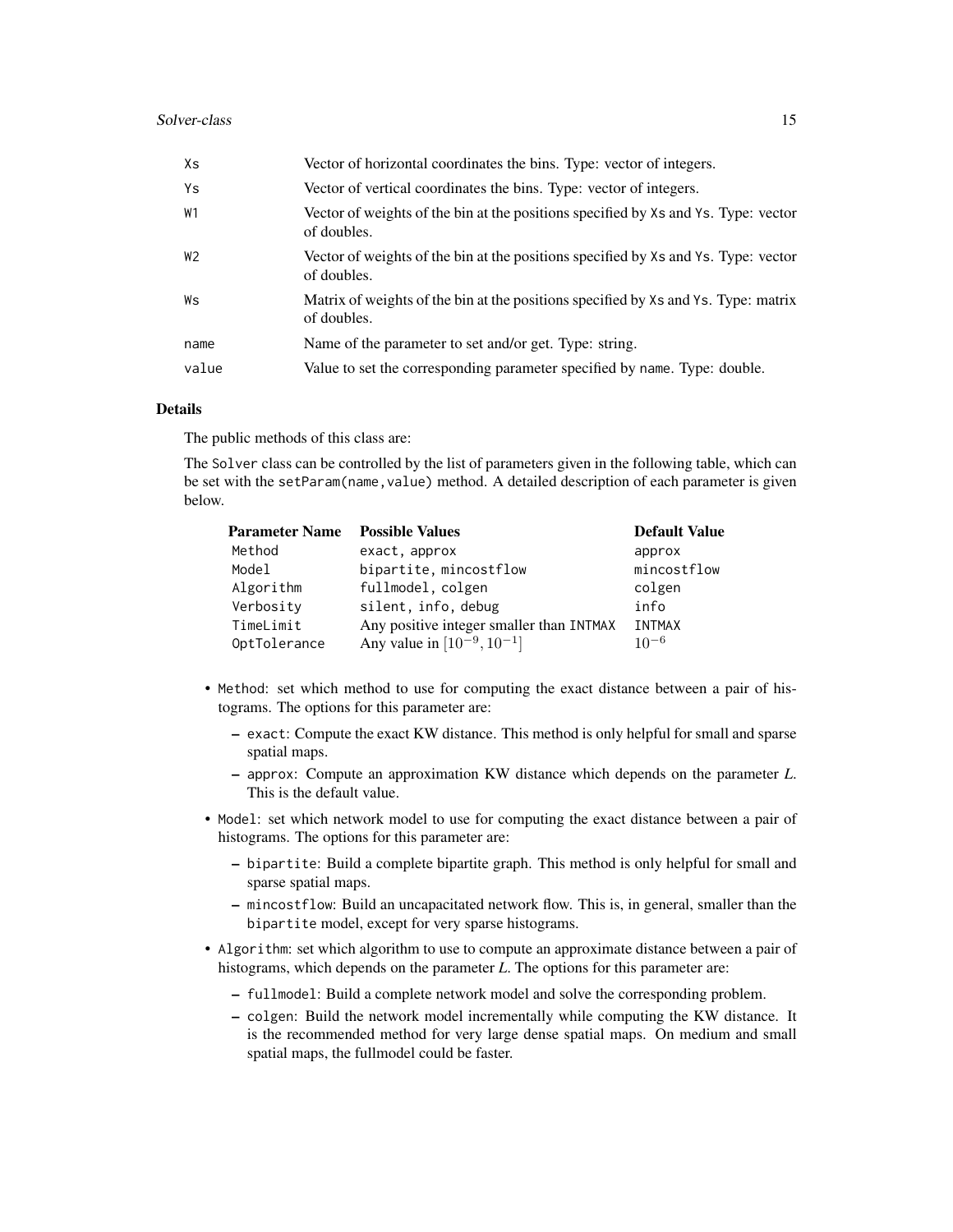| Xs             | Vector of horizontal coordinates the bins. Type: vector of integers.                              |
|----------------|---------------------------------------------------------------------------------------------------|
| Ys             | Vector of vertical coordinates the bins. Type: vector of integers.                                |
| W1             | Vector of weights of the bin at the positions specified by Xs and Ys. Type: vector<br>of doubles. |
| W <sub>2</sub> | Vector of weights of the bin at the positions specified by Xs and Ys. Type: vector<br>of doubles. |
| Ws             | Matrix of weights of the bin at the positions specified by Xs and Ys. Type: matrix<br>of doubles. |
| name           | Name of the parameter to set and/or get. Type: string.                                            |
| value          | Value to set the corresponding parameter specified by name. Type: double.                         |

# Details

The public methods of this class are:

The Solver class can be controlled by the list of parameters given in the following table, which can be set with the setParam(name, value) method. A detailed description of each parameter is given below.

| <b>Parameter Name</b> | <b>Possible Values</b>                   | <b>Default Value</b> |
|-----------------------|------------------------------------------|----------------------|
| Method                | exact, approx                            | approx               |
| Model                 | bipartite, mincostflow                   | mincostflow          |
| Algorithm             | fullmodel, colgen                        | colgen               |
| Verbosity             | silent, info, debug                      | info                 |
| TimeLimit             | Any positive integer smaller than INTMAX | <b>INTMAX</b>        |
| OptTolerance          | Any value in $[10^{-9}, 10^{-1}]$        | $10^{-6}$            |

- Method: set which method to use for computing the exact distance between a pair of histograms. The options for this parameter are:
	- exact: Compute the exact KW distance. This method is only helpful for small and sparse spatial maps.
	- approx: Compute an approximation KW distance which depends on the parameter *L*. This is the default value.
- Model: set which network model to use for computing the exact distance between a pair of histograms. The options for this parameter are:
	- bipartite: Build a complete bipartite graph. This method is only helpful for small and sparse spatial maps.
	- mincostflow: Build an uncapacitated network flow. This is, in general, smaller than the bipartite model, except for very sparse histograms.
- Algorithm: set which algorithm to use to compute an approximate distance between a pair of histograms, which depends on the parameter *L*. The options for this parameter are:
	- fullmodel: Build a complete network model and solve the corresponding problem.
	- colgen: Build the network model incrementally while computing the KW distance. It is the recommended method for very large dense spatial maps. On medium and small spatial maps, the fullmodel could be faster.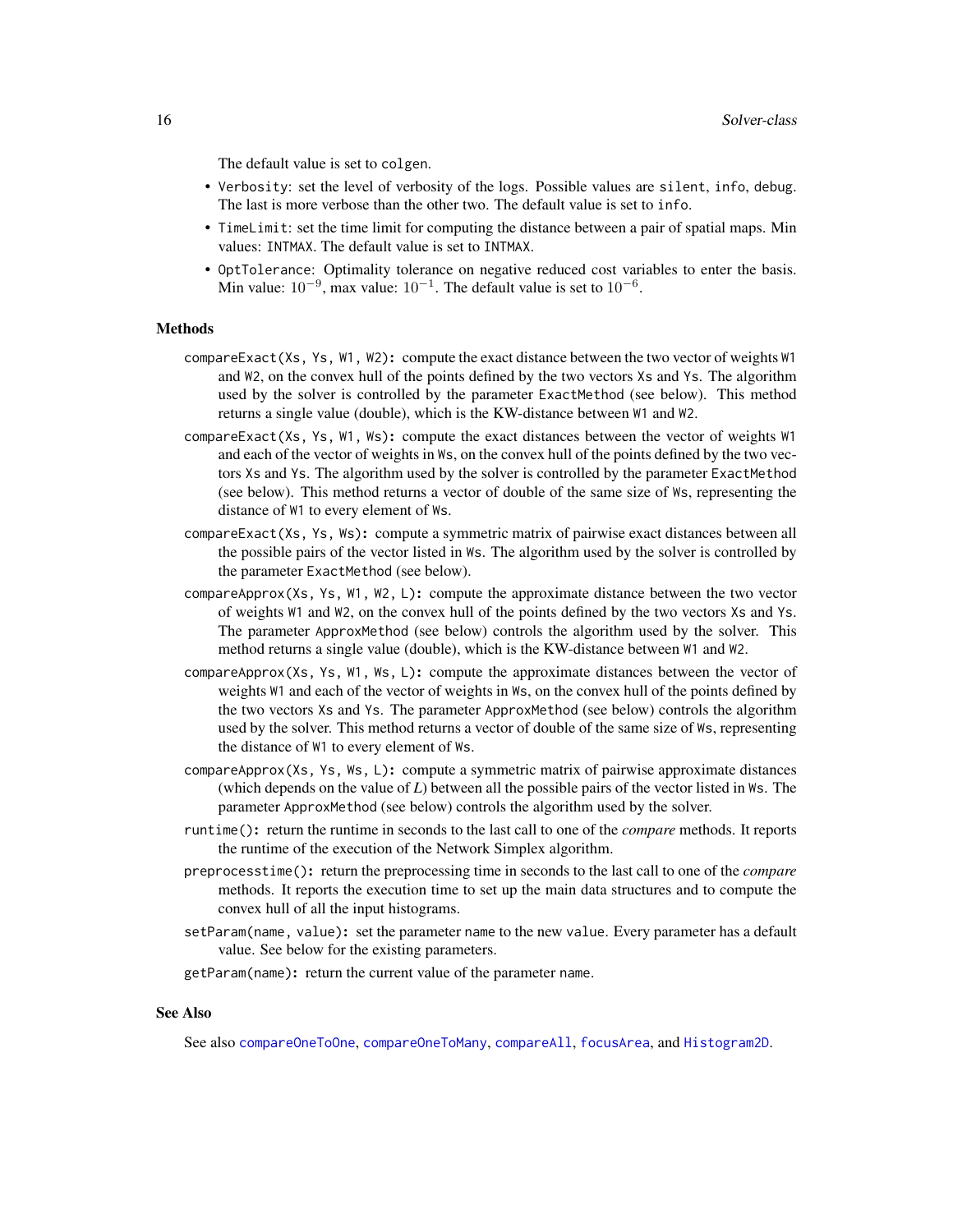<span id="page-15-0"></span>The default value is set to colgen.

- Verbosity: set the level of verbosity of the logs. Possible values are silent, info, debug. The last is more verbose than the other two. The default value is set to info.
- TimeLimit: set the time limit for computing the distance between a pair of spatial maps. Min values: INTMAX. The default value is set to INTMAX.
- OptTolerance: Optimality tolerance on negative reduced cost variables to enter the basis. Min value:  $10^{-9}$ , max value:  $10^{-1}$ . The default value is set to  $10^{-6}$ .

#### Methods

- compareExact(Xs, Ys, W1, W2): compute the exact distance between the two vector of weights W1 and W2, on the convex hull of the points defined by the two vectors Xs and Ys. The algorithm used by the solver is controlled by the parameter ExactMethod (see below). This method returns a single value (double), which is the KW-distance between W1 and W2.
- compareExact(Xs, Ys, W1, Ws): compute the exact distances between the vector of weights W1 and each of the vector of weights in Ws, on the convex hull of the points defined by the two vectors Xs and Ys. The algorithm used by the solver is controlled by the parameter ExactMethod (see below). This method returns a vector of double of the same size of Ws, representing the distance of W1 to every element of Ws.
- compareExact(Xs, Ys, Ws): compute a symmetric matrix of pairwise exact distances between all the possible pairs of the vector listed in Ws. The algorithm used by the solver is controlled by the parameter ExactMethod (see below).
- compareApprox(Xs, Ys, W1, W2, L): compute the approximate distance between the two vector of weights W1 and W2, on the convex hull of the points defined by the two vectors Xs and Ys. The parameter ApproxMethod (see below) controls the algorithm used by the solver. This method returns a single value (double), which is the KW-distance between W1 and W2.
- compareApprox(Xs, Ys, W1, Ws, L): compute the approximate distances between the vector of weights W1 and each of the vector of weights in Ws, on the convex hull of the points defined by the two vectors Xs and Ys. The parameter ApproxMethod (see below) controls the algorithm used by the solver. This method returns a vector of double of the same size of Ws, representing the distance of W1 to every element of Ws.
- compareApprox(Xs, Ys, Ws, L): compute a symmetric matrix of pairwise approximate distances (which depends on the value of *L*) between all the possible pairs of the vector listed in Ws. The parameter ApproxMethod (see below) controls the algorithm used by the solver.
- runtime(): return the runtime in seconds to the last call to one of the *compare* methods. It reports the runtime of the execution of the Network Simplex algorithm.
- preprocesstime(): return the preprocessing time in seconds to the last call to one of the *compare* methods. It reports the execution time to set up the main data structures and to compute the convex hull of all the input histograms.
- setParam(name, value): set the parameter name to the new value. Every parameter has a default value. See below for the existing parameters.
- getParam(name): return the current value of the parameter name.

# See Also

See also [compareOneToOne](#page-6-1), [compareOneToMany](#page-4-1), [compareAll](#page-2-1), [focusArea](#page-9-1), and [Histogram2D](#page-12-1).